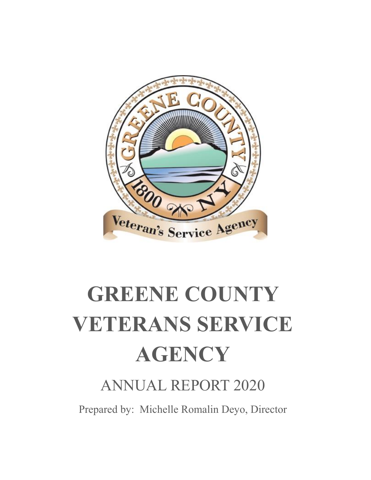

# **GREENE COUNTY VETERANS SERVICE AGENCY**

## ANNUAL REPORT 2020

Prepared by: Michelle Romalin Deyo, Director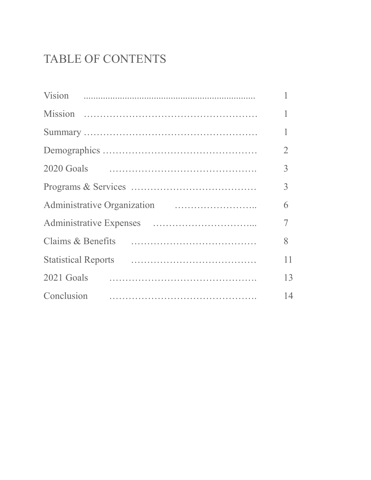## TABLE OF CONTENTS

|                                                                                                                        | $\overline{2}$ |
|------------------------------------------------------------------------------------------------------------------------|----------------|
|                                                                                                                        | 3              |
|                                                                                                                        | 3              |
|                                                                                                                        | 6              |
|                                                                                                                        | 7              |
| Claims & Benefits (all resonances and all resonances and all resonances and all resonances and all resonances $\alpha$ | 8              |
|                                                                                                                        | 11             |
|                                                                                                                        | 13             |
| Conclusion                                                                                                             | 14             |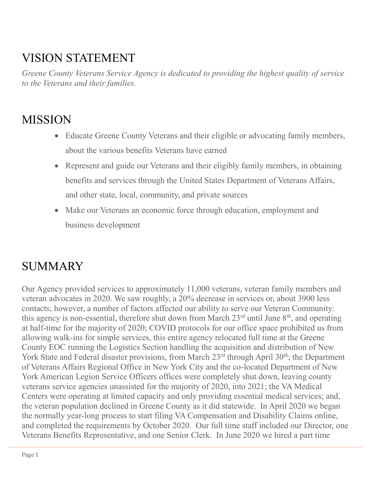## VISION STATEMENT

*Greene County Veterans Service Agency is dedicated to providing the highest quality of service to the Veterans and their families.*

## **MISSION**

- Educate Greene County Veterans and their eligible or advocating family members, about the various benefits Veterans have earned
- Represent and guide our Veterans and their eligibly family members, in obtaining benefits and services through the United States Department of Veterans Affairs, and other state, local, community, and private sources
- Make our Veterans an economic force through education, employment and business development

## **SUMMARY**

Our Agency provided services to approximately 11,000 veterans, veteran family members and veteran advocates in 2020. We saw roughly, a 20% decrease in services or, about 3900 less contacts; however, a number of factors affected our ability to serve our Veteran Community: this agency is non-essential, therefore shut down from March  $23<sup>rd</sup>$  until June  $8<sup>th</sup>$ , and operating at half-time for the majority of 2020; COVID protocols for our office space prohibited us from allowing walk-ins for simple services, this entire agency relocated full time at the Greene County EOC running the Logistics Section handling the acquisition and distribution of New York State and Federal disaster provisions, from March  $23<sup>rd</sup>$  through April  $30<sup>th</sup>$ ; the Department of Veterans Affairs Regional Office in New York City and the co-located Department of New York American Legion Service Officers offices were completely shut down, leaving county veterans service agencies unassisted for the majority of 2020, into 2021; the VA Medical Centers were operating at limited capacity and only providing essential medical services; and, the veteran population declined in Greene County as it did statewide. In April 2020 we began the normally year-long process to start filing VA Compensation and Disability Claims online, and completed the requirements by October 2020. Our full time staff included our Director, one Veterans Benefits Representative, and one Senior Clerk. In June 2020 we hired a part time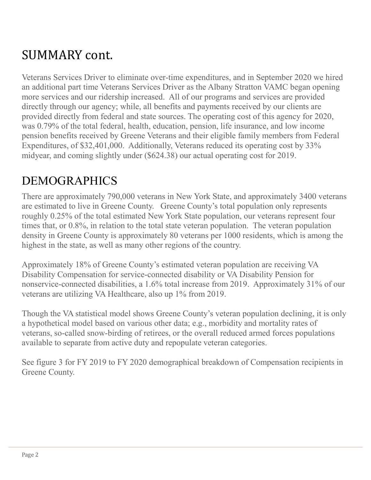# SUMMARY cont.

Veterans Services Driver to eliminate over-time expenditures, and in September 2020 we hired an additional part time Veterans Services Driver as the Albany Stratton VAMC began opening more services and our ridership increased. All of our programs and services are provided directly through our agency; while, all benefits and payments received by our clients are provided directly from federal and state sources. The operating cost of this agency for 2020, was 0.79% of the total federal, health, education, pension, life insurance, and low income pension benefits received by Greene Veterans and their eligible family members from Federal Expenditures, of \$32,401,000. Additionally, Veterans reduced its operating cost by 33% midyear, and coming slightly under (\$624.38) our actual operating cost for 2019.

## DEMOGRAPHICS

There are approximately 790,000 veterans in New York State, and approximately 3400 veterans are estimated to live in Greene County. Greene County's total population only represents roughly 0.25% of the total estimated New York State population, our veterans represent four times that, or 0.8%, in relation to the total state veteran population. The veteran population density in Greene County is approximately 80 veterans per 1000 residents, which is among the highest in the state, as well as many other regions of the country.

Approximately 18% of Greene County's estimated veteran population are receiving VA Disability Compensation for service-connected disability or VA Disability Pension for nonservice-connected disabilities, a 1.6% total increase from 2019. Approximately 31% of our veterans are utilizing VA Healthcare, also up 1% from 2019.

Though the VA statistical model shows Greene County's veteran population declining, it is only a hypothetical model based on various other data; e.g., morbidity and mortality rates of veterans, so-called snow-birding of retirees, or the overall reduced armed forces populations available to separate from active duty and repopulate veteran categories.

See figure 3 for FY 2019 to FY 2020 demographical breakdown of Compensation recipients in Greene County.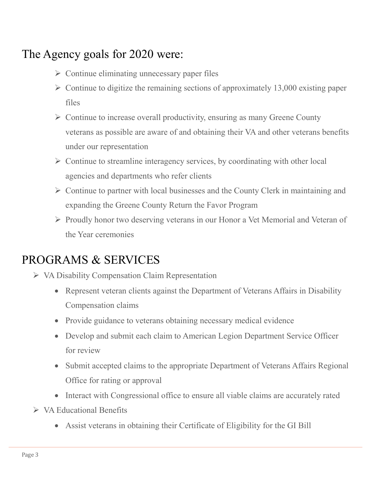## The Agency goals for 2020 were:

- $\triangleright$  Continue eliminating unnecessary paper files
- $\triangleright$  Continue to digitize the remaining sections of approximately 13,000 existing paper files
- $\triangleright$  Continue to increase overall productivity, ensuring as many Greene County veterans as possible are aware of and obtaining their VA and other veterans benefits under our representation
- $\triangleright$  Continue to streamline interagency services, by coordinating with other local agencies and departments who refer clients
- $\triangleright$  Continue to partner with local businesses and the County Clerk in maintaining and expanding the Greene County Return the Favor Program
- Proudly honor two deserving veterans in our Honor a Vet Memorial and Veteran of the Year ceremonies

## PROGRAMS & SERVICES

- VA Disability Compensation Claim Representation
	- Represent veteran clients against the Department of Veterans Affairs in Disability Compensation claims
	- Provide guidance to veterans obtaining necessary medical evidence
	- Develop and submit each claim to American Legion Department Service Officer for review
	- Submit accepted claims to the appropriate Department of Veterans Affairs Regional Office for rating or approval
	- Interact with Congressional office to ensure all viable claims are accurately rated
- VA Educational Benefits
	- Assist veterans in obtaining their Certificate of Eligibility for the GI Bill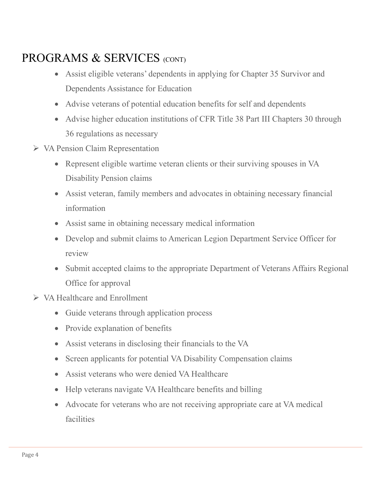## PROGRAMS & SERVICES (CONT)

- Assist eligible veterans' dependents in applying for Chapter 35 Survivor and Dependents Assistance for Education
- Advise veterans of potential education benefits for self and dependents
- Advise higher education institutions of CFR Title 38 Part III Chapters 30 through 36 regulations as necessary
- $\triangleright$  VA Pension Claim Representation
	- Represent eligible wartime veteran clients or their surviving spouses in VA Disability Pension claims
	- Assist veteran, family members and advocates in obtaining necessary financial information
	- Assist same in obtaining necessary medical information
	- Develop and submit claims to American Legion Department Service Officer for review
	- Submit accepted claims to the appropriate Department of Veterans Affairs Regional Office for approval
- VA Healthcare and Enrollment
	- Guide veterans through application process
	- Provide explanation of benefits
	- Assist veterans in disclosing their financials to the VA
	- Screen applicants for potential VA Disability Compensation claims
	- Assist veterans who were denied VA Healthcare
	- Help veterans navigate VA Healthcare benefits and billing
	- Advocate for veterans who are not receiving appropriate care at VA medical facilities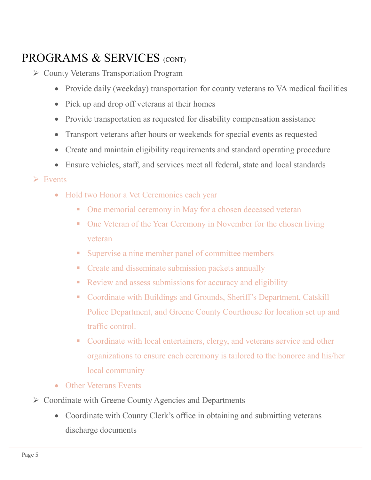## PROGRAMS & SERVICES (CONT)

- County Veterans Transportation Program
	- Provide daily (weekday) transportation for county veterans to VA medical facilities
	- Pick up and drop off veterans at their homes
	- Provide transportation as requested for disability compensation assistance
	- Transport veterans after hours or weekends for special events as requested
	- Create and maintain eligibility requirements and standard operating procedure
	- Ensure vehicles, staff, and services meet all federal, state and local standards

#### $\triangleright$  Events

- Hold two Honor a Vet Ceremonies each year
	- One memorial ceremony in May for a chosen deceased veteran
	- One Veteran of the Year Ceremony in November for the chosen living veteran
	- **Supervise a nine member panel of committee members**
	- **Create and disseminate submission packets annually**
	- Review and assess submissions for accuracy and eligibility
	- Coordinate with Buildings and Grounds, Sheriff's Department, Catskill Police Department, and Greene County Courthouse for location set up and traffic control.
	- Coordinate with local entertainers, clergy, and veterans service and other organizations to ensure each ceremony is tailored to the honoree and his/her local community
- Other Veterans Events
- $\triangleright$  Coordinate with Greene County Agencies and Departments
	- Coordinate with County Clerk's office in obtaining and submitting veterans discharge documents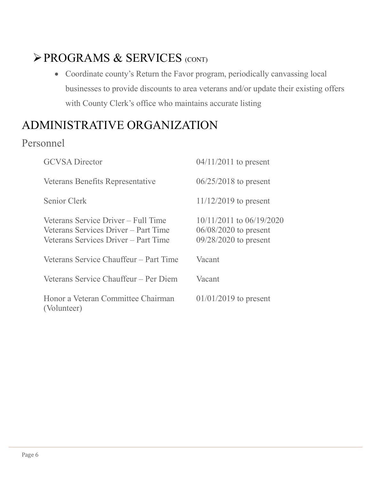## PROGRAMS & SERVICES (CONT)

 Coordinate county's Return the Favor program, periodically canvassing local businesses to provide discounts to area veterans and/or update their existing offers with County Clerk's office who maintains accurate listing

## ADMINISTRATIVE ORGANIZATION

#### Personnel

| <b>GCVSA</b> Director                                                                                               | $04/11/2011$ to present                                                            |
|---------------------------------------------------------------------------------------------------------------------|------------------------------------------------------------------------------------|
| Veterans Benefits Representative                                                                                    | $06/25/2018$ to present                                                            |
| Senior Clerk                                                                                                        | $11/12/2019$ to present                                                            |
| Veterans Service Driver – Full Time<br>Veterans Services Driver – Part Time<br>Veterans Services Driver - Part Time | $10/11/2011$ to $06/19/2020$<br>$06/08/2020$ to present<br>$09/28/2020$ to present |
| Veterans Service Chauffeur – Part Time                                                                              | Vacant                                                                             |
| Veterans Service Chauffeur – Per Diem                                                                               | Vacant                                                                             |
| Honor a Veteran Committee Chairman<br>(Volunteer)                                                                   | $01/01/2019$ to present                                                            |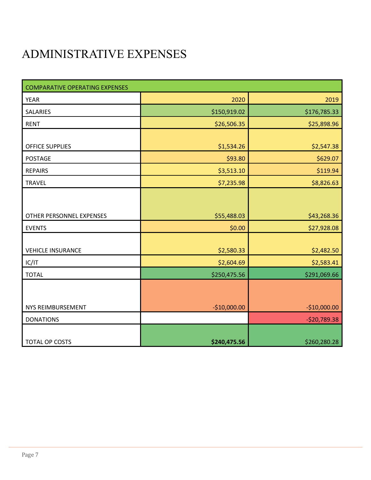## ADMINISTRATIVE EXPENSES

| <b>COMPARATIVE OPERATING EXPENSES</b> |               |               |
|---------------------------------------|---------------|---------------|
| <b>YEAR</b>                           | 2020          | 2019          |
| <b>SALARIES</b>                       | \$150,919.02  | \$176,785.33  |
| <b>RENT</b>                           | \$26,506.35   | \$25,898.96   |
|                                       |               |               |
| <b>OFFICE SUPPLIES</b>                | \$1,534.26    | \$2,547.38    |
| <b>POSTAGE</b>                        | \$93.80       | \$629.07      |
| <b>REPAIRS</b>                        | \$3,513.10    | \$119.94      |
| <b>TRAVEL</b>                         | \$7,235.98    | \$8,826.63    |
|                                       |               |               |
|                                       |               |               |
| OTHER PERSONNEL EXPENSES              | \$55,488.03   | \$43,268.36   |
| <b>EVENTS</b>                         | \$0.00        | \$27,928.08   |
|                                       |               |               |
| <b>VEHICLE INSURANCE</b>              | \$2,580.33    | \$2,482.50    |
| IC/IT                                 | \$2,604.69    | \$2,583.41    |
| <b>TOTAL</b>                          | \$250,475.56  | \$291,069.66  |
|                                       |               |               |
|                                       |               |               |
| NYS REIMBURSEMENT                     | $-$10,000.00$ | $-$10,000.00$ |
| <b>DONATIONS</b>                      |               | $-520,789.38$ |
|                                       |               |               |
| TOTAL OP COSTS                        | \$240,475.56  | \$260,280.28  |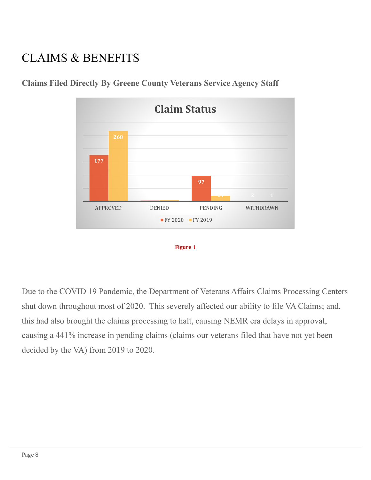## CLAIMS & BENEFITS



**Claims Filed Directly By Greene County Veterans Service Agency Staff**



Due to the COVID 19 Pandemic, the Department of Veterans Affairs Claims Processing Centers shut down throughout most of 2020. This severely affected our ability to file VA Claims; and, this had also brought the claims processing to halt, causing NEMR era delays in approval, causing a 441% increase in pending claims (claims our veterans filed that have not yet been decided by the VA) from 2019 to 2020.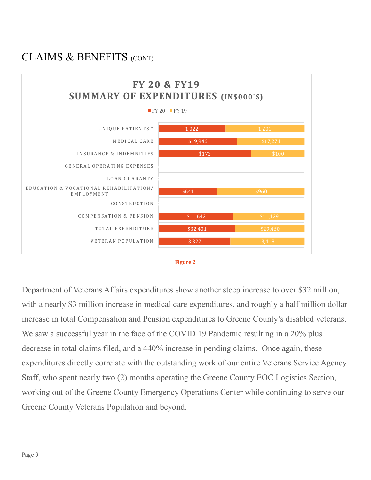#### CLAIMS & BENEFITS (CONT)





Department of Veterans Affairs expenditures show another steep increase to over \$32 million, with a nearly \$3 million increase in medical care expenditures, and roughly a half million dollar increase in total Compensation and Pension expenditures to Greene County's disabled veterans. We saw a successful year in the face of the COVID 19 Pandemic resulting in a 20% plus decrease in total claims filed, and a 440% increase in pending claims. Once again, these expenditures directly correlate with the outstanding work of our entire Veterans Service Agency Staff, who spent nearly two (2) months operating the Greene County EOC Logistics Section, working out of the Greene County Emergency Operations Center while continuing to serve our Greene County Veterans Population and beyond.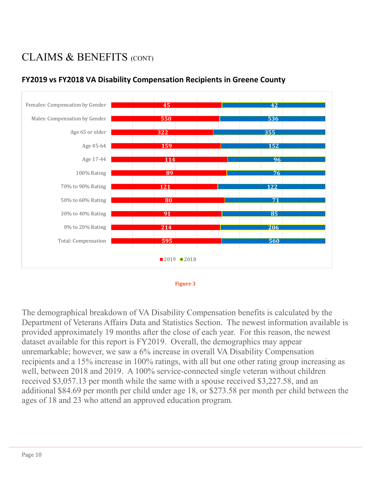## CLAIMS & BENEFITS (CONT)



#### **FY2019 vs FY2018 VA Disability Compensation Recipients in Greene County**



The demographical breakdown of VA Disability Compensation benefits is calculated by the Department of Veterans Affairs Data and Statistics Section. The newest information available is provided approximately 19 months after the close of each year. For this reason, the newest dataset available for this report is FY2019. Overall, the demographics may appear unremarkable; however, we saw a 6% increase in overall VA Disability Compensation recipients and a 15% increase in 100% ratings, with all but one other rating group increasing as well, between 2018 and 2019. A 100% service-connected single veteran without children received \$3,057.13 per month while the same with a spouse received \$3,227.58, and an additional \$84.69 per month per child under age 18, or \$273.58 per month per child between the ages of 18 and 23 who attend an approved education program.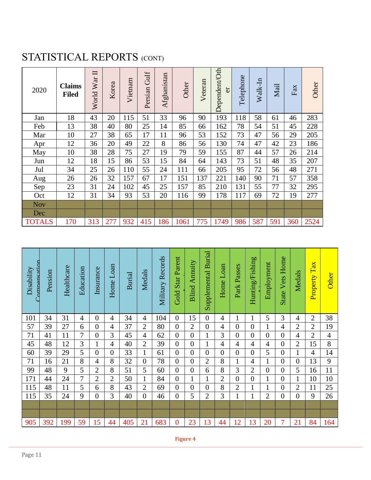## STATISTICAL REPORTS (CONT)

| 2020          | <b>Claims</b><br><b>Filed</b> | $\Box$<br>World War | Korea | Vietnam | Gulf<br>Persian | Afghanistan | Other | Veteran | Dependent/Oth<br><b>F</b> | Telephone | Walk-In | Mail | Fax | Other |
|---------------|-------------------------------|---------------------|-------|---------|-----------------|-------------|-------|---------|---------------------------|-----------|---------|------|-----|-------|
| Jan           | 18                            | 43                  | 20    | 115     | 51              | 33          | 96    | 90      | 193                       | 118       | 58      | 61   | 46  | 283   |
| Feb           | 13                            | 38                  | 40    | 80      | 25              | 14          | 85    | 66      | 162                       | 78        | 54      | 51   | 45  | 228   |
| Mar           | 10                            | 27                  | 38    | 65      | 17              | 11          | 96    | 53      | 152                       | 73        | 47      | 56   | 29  | 205   |
| Apr           | 12                            | 36                  | 20    | 49      | 22              | 8           | 86    | 56      | 130                       | 74        | 47      | 42   | 23  | 186   |
| May           | 10                            | 38                  | 28    | 75      | 27              | 19          | 79    | 59      | 155                       | 87        | 44      | 57   | 26  | 214   |
| Jun           | 12                            | 18                  | 15    | 86      | 53              | 15          | 84    | 64      | 143                       | 73        | 51      | 48   | 35  | 207   |
| Jul           | 34                            | 25                  | 26    | 110     | 55              | 24          | 111   | 66      | 205                       | 95        | 72      | 56   | 48  | 271   |
| Aug           | 26                            | 26                  | 32    | 157     | 67              | 17          | 151   | 137     | 221                       | 140       | 90      | 71   | 57  | 358   |
| Sep           | 23                            | 31                  | 24    | 102     | 45              | 25          | 157   | 85      | 210                       | 131       | 55      | 77   | 32  | 295   |
| Oct           | 12                            | 31                  | 34    | 93      | 53              | 20          | 116   | 99      | 178                       | 117       | 69      | 72   | 19  | 277   |
| <b>Nov</b>    |                               |                     |       |         |                 |             |       |         |                           |           |         |      |     |       |
| Dec           |                               |                     |       |         |                 |             |       |         |                           |           |         |      |     |       |
| <b>TOTALS</b> | 170                           | 313                 | 277   | 932     | 415             | 186         | 1061  | 775     | 1749                      | 986       | 587     | 591  | 360 | 2524  |

| Compensation<br>Disability | Pension | Healthcare | Education | Insurance      | Loan<br>Home   | <b>Burial</b> | Medals         | Military Records | Star Parent<br>Gold | Annuity<br>Blind. | Burial<br>Supplemental | Loan<br>Home   | Passes<br>Park | Hunting/Fishing | Employment     | Home<br>Vets<br><b>State</b> | Medals         | TaX<br>Property | <b>Other</b> |
|----------------------------|---------|------------|-----------|----------------|----------------|---------------|----------------|------------------|---------------------|-------------------|------------------------|----------------|----------------|-----------------|----------------|------------------------------|----------------|-----------------|--------------|
| 101                        | 34      | 31         | 4         | $\overline{0}$ | 4              | 34            | 4              | 104              | $\overline{0}$      | 15                | $\boldsymbol{0}$       | 4              | 1              |                 | 5              | 3                            | 4              | $\overline{2}$  | 38           |
| 57                         | 39      | 27         | 6         | $\overline{0}$ | 4              | 37            | $\overline{2}$ | 80               | $\overline{0}$      | $\overline{2}$    | $\overline{0}$         | 4              | $\overline{0}$ | $\overline{0}$  | 1              | 4                            | $\overline{2}$ | $\overline{2}$  | 19           |
| 71                         | 41      | 11         | 7         | $\overline{0}$ | 3              | 45            | 4              | 62               | $\overline{0}$      | $\overline{0}$    |                        | 3              | $\overline{0}$ | $\overline{0}$  | $\overline{0}$ | $\overline{0}$               | 4              | $\overline{2}$  | 4            |
| 45                         | 48      | 12         | 3         | 1              | 4              | 40            | $\overline{2}$ | 39               | $\overline{0}$      | $\overline{0}$    | $\mathbf{1}$           | 4              | $\overline{4}$ | 4               | $\overline{4}$ | $\overline{0}$               | $\overline{2}$ | 15              | 8            |
| 60                         | 39      | 29         | 5         | $\overline{0}$ | $\overline{0}$ | 33            | 1              | 61               | $\overline{0}$      | $\overline{0}$    | $\overline{0}$         | $\overline{0}$ | $\overline{0}$ | $\overline{0}$  | 5              | $\overline{0}$               |                | 4               | 14           |
| 71                         | 16      | 21         | 8         | 4              | 8              | 32            | 0              | 78               | $\overline{0}$      | $\overline{0}$    | $\overline{2}$         | 8              | 1              | 4               | $\mathbf{1}$   | $\overline{0}$               | 0              | 13              | 9            |
| 99                         | 48      | 9          | 5         | $\mathfrak{2}$ | 8              | 51            | 5              | 60               | $\overline{0}$      | $\boldsymbol{0}$  | 6                      | 8              | 3              | $\overline{c}$  | 0              | $\overline{0}$               | 5              | 16              | 11           |
| 171                        | 44      | 24         | 7         | $\overline{2}$ | $\overline{2}$ | 50            | 1              | 84               | $\overline{0}$      | $\mathbf{1}$      | $\mathbf{1}$           | $\overline{2}$ | $\Omega$       | $\overline{0}$  | $\mathbf{1}$   | $\overline{0}$               | 1              | 10              | 10           |
| 115                        | 48      | 11         | 5         | 6              | 8              | 43            | $\overline{2}$ | 69               | $\overline{0}$      | $\overline{0}$    | $\overline{0}$         | 8              | $\overline{2}$ | 1               | 1              | $\overline{0}$               | $\overline{2}$ | 11              | 25           |
| 115                        | 35      | 24         | 9         | $\overline{0}$ | 3              | 40            | $\overline{0}$ | 46               | $\overline{0}$      | 5                 | $\overline{2}$         | 3              | 1              | $\mathbf{1}$    | $\overline{2}$ | $\overline{0}$               | $\overline{0}$ | 9               | 26           |
|                            |         |            |           |                |                |               |                |                  |                     |                   |                        |                |                |                 |                |                              |                |                 |              |
|                            |         |            |           |                |                |               |                |                  |                     |                   |                        |                |                |                 |                |                              |                |                 |              |
| 905                        | 392     | 199        | 59        | 15             | 44             | 405           | 21             | 683              | $\mathbf{0}$        | 23                | 13                     | 44             | 12             | 13              | 20             | 7                            | 21             | 84              | 164          |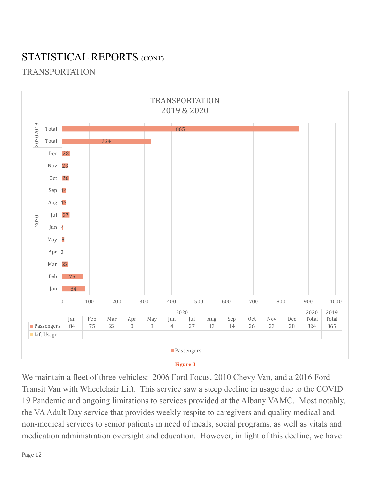## STATISTICAL REPORTS (CONT)

#### TRANSPORTATION



**Figure 3**

We maintain a fleet of three vehicles: 2006 Ford Focus, 2010 Chevy Van, and a 2016 Ford Transit Van with Wheelchair Lift. This service saw a steep decline in usage due to the COVID 19 Pandemic and ongoing limitations to services provided at the Albany VAMC. Most notably, the VA Adult Day service that provides weekly respite to caregivers and quality medical and non-medical services to senior patients in need of meals, social programs, as well as vitals and medication administration oversight and education. However, in light of this decline, we have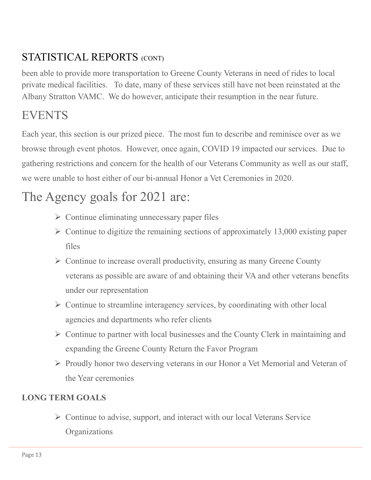## STATISTICAL REPORTS (CONT)

been able to provide more transportation to Greene County Veterans in need of rides to local private medical facilities. To date, many of these services still have not been reinstated at the Albany Stratton VAMC. We do however, anticipate their resumption in the near future.

## **EVENTS**

Each year, this section is our prized piece. The most fun to describe and reminisce over as we browse through event photos. However, once again, COVID 19 impacted our services. Due to gathering restrictions and concern for the health of our Veterans Community as well as our staff, we were unable to host either of our bi-annual Honor a Vet Ceremonies in 2020.

## The Agency goals for 2021 are:

- $\triangleright$  Continue eliminating unnecessary paper files
- $\triangleright$  Continue to digitize the remaining sections of approximately 13,000 existing paper files
- $\triangleright$  Continue to increase overall productivity, ensuring as many Greene County veterans as possible are aware of and obtaining their VA and other veterans benefits under our representation
- $\triangleright$  Continue to streamline interagency services, by coordinating with other local agencies and departments who refer clients
- $\triangleright$  Continue to partner with local businesses and the County Clerk in maintaining and expanding the Greene County Return the Favor Program
- $\triangleright$  Proudly honor two deserving veterans in our Honor a Vet Memorial and Veteran of the Year ceremonies

#### **LONG TERM GOALS**

 $\triangleright$  Continue to advise, support, and interact with our local Veterans Service **Organizations**